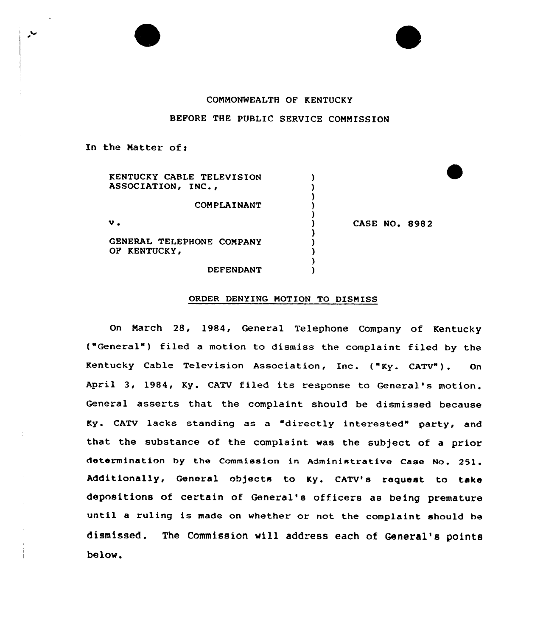## COMMONMEALTH OF KENTUCKY

## BEFORE THE PUBLIC SERVICE COMMISSION

In the Matter of:

 $\overline{\phantom{a}}$ 

| KENTUCKY CABLE TELEVISION<br>ASSOCIATION, INC., |                      |
|-------------------------------------------------|----------------------|
| COMPLAINANT                                     |                      |
| $\mathbf v$ .                                   | <b>CASE NO. 8982</b> |
| GENERAL TELEPHONE COMPANY<br>OF KENTUCKY.       |                      |
| <b>DEFENDANT</b>                                |                      |

#### ORDER DENYING MOTION TO DISMISS

On March 28, 1984, General Telephone Company of Kentucky ("General") filed a motion to dismiss the complaint filed by the Kentucky Cable Television Association, Inc. ("Ky. CATV"). On April 3, 1984, Ky. CATV filed its response to General's motion. General asserts that the complaint should be dismissed because Ky. CATV lacks standing as a "directly interested" party, and that the substance of the complaint was the subject of a prior determination by the Commission in Administrative case No. 251. Additionally, General objects to Ky. CATV's request to take depositions of certain of General's officers as being premature until <sup>a</sup> ruling is made on whether or not the complaint should he dismissed. The Commission will address each of General's points below.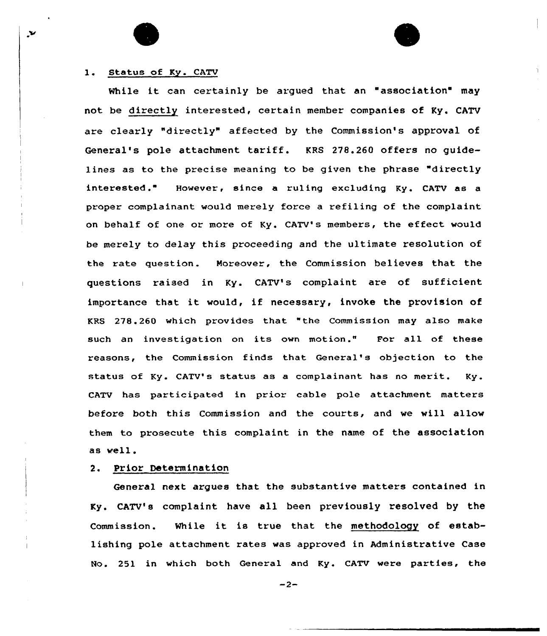## 1. Status of Ky. CATV

X,

While it can certainly be argued that an "association" may not be directly interested, certain member companies of Ky. CATV are clearly "directly" affected by the Commission's approval of General's pole attachment tariff. KRS 278.260 offers no guidelines as to the precise meaning to be given the phrase "directly interested ." However, since <sup>a</sup> ru1ing exc1uding Ky. CATV as <sup>a</sup> proper complainant would merely force a refiling of the complaint on behalf of one or more of Ky. CATV's members, the effect would be merely to delay this proceeding and the ultimate resolution of the rate question. Moreover, the Commission believes that the questions raised in Ky. CATV's complaint are of sufficient importance that it would, if necessary, invoke the provision of KRS 278.260 which provides that "the Commission may also make such an investigation on its own motion." For all of these reasons, the Commission finds that General's objection to the status of Ky. CATV's status as a complainant has no merit. Ky. CATV has participated in prior cable pole attachment matters before both this Commission and the courts, and we will allow them to prosecute this complaint in the name of the association as well.

# 2. Prior Determination

General next argues that the substantive matters contained in Ky. CATV's complaint have all been previously resolved by the Commission. While it is true that the methodology of establishing pole attachment rates was approved in Administrative Case No. 251 in which both General and Ky. CATV were parties, the

 $-2-$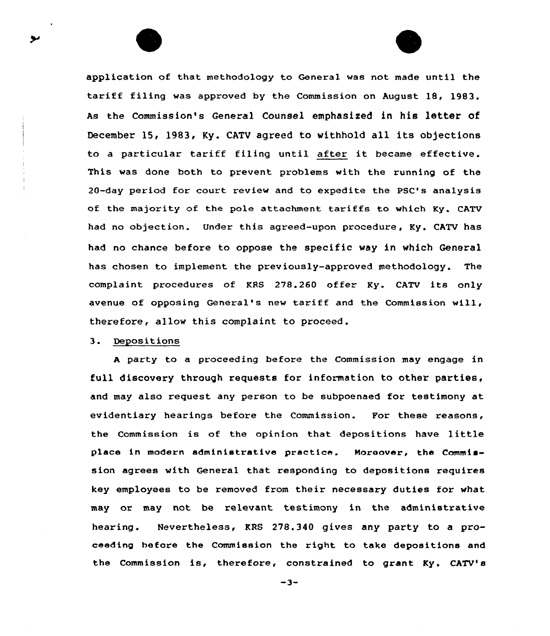application of that methodology to General was not made until the tariff filing was approved by the Commission on August 18, 1983. As the Commission's General Counsel emphasized in his letter of December 15, 1983, Ky. CATV agreed to withhold all its objections to <sup>a</sup> particular tariff filing until after it became effective. This was done both to prevent problems with the running of the 20-day period for court review and to expedite the PSC's analysis of the majority of the pole attachment tariffs to which Ky. CATV had no objection. Under this agreed-upon procedure, Ky. CATV has had no chance before to oppose the specific way in which General has chosen to implement the previously-approved methodology. The complaint procedures of KRS 278.260 offer Ky. CATV its only avenue of opposing General's new tariff and the Commission will, therefore, allow this complaint to proceed.

## 3. Depositions

<sup>A</sup> party ta a proceeding before the Commission may engage in full discovery through requests for information to other parties, and may also request any person to be subpoenaed for testimony at evidentiary hearings before the Commission. For these reasons, the Commission is of the opinion that depositions have little place in modern administrative practice. Naraaver, the Commission agrees with General that responding to depositions xequires key employees to be removed from their necessary duties for what may or may not be relevant testimony in the administrative hearing. Nevertheless, RRS 278.340 gives any party to a proceeding before the Commission the right to take depositions and the Commission is, therefore, constrained to grant Ky. CATV'

 $-3-$